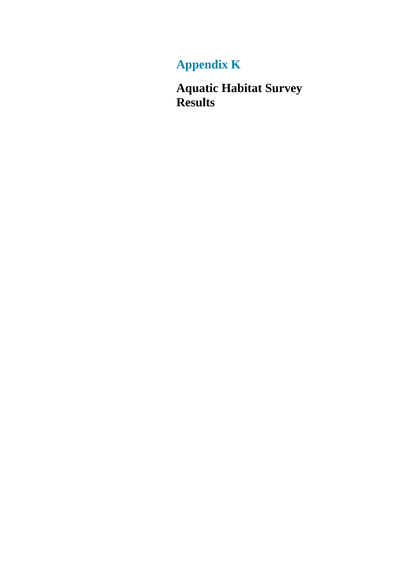# **Appendix K**

**Aquatic Habitat Survey Results**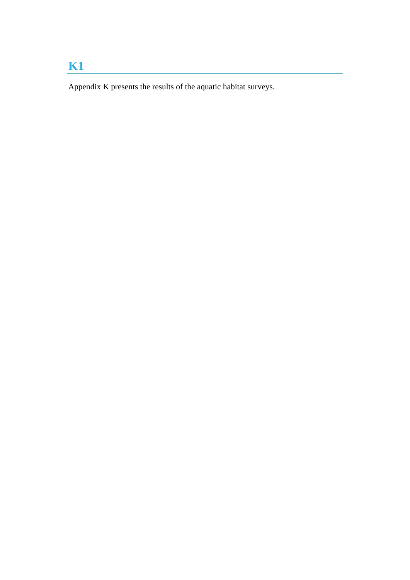# **K1**

Appendix K presents the results of the aquatic habitat surveys.

<u> 1989 - Johann Stein, marwolaethau a bh</u>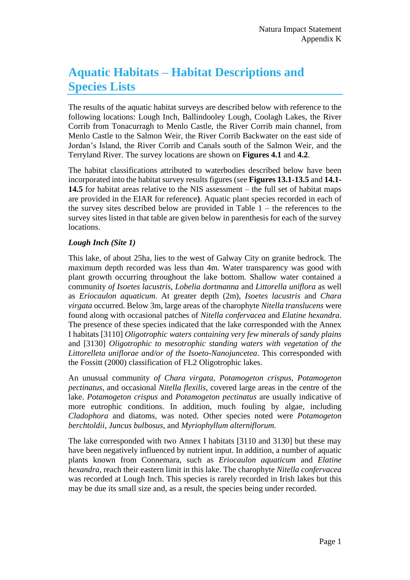# **Aquatic Habitats – Habitat Descriptions and Species Lists**

The results of the aquatic habitat surveys are described below with reference to the following locations: Lough Inch, Ballindooley Lough, Coolagh Lakes, the River Corrib from Tonacurragh to Menlo Castle, the River Corrib main channel, from Menlo Castle to the Salmon Weir, the River Corrib Backwater on the east side of Jordan's Island, the River Corrib and Canals south of the Salmon Weir, and the Terryland River. The survey locations are shown on **Figures 4.1** and **4.2**.

The habitat classifications attributed to waterbodies described below have been incorporated into the habitat survey results figures (see **Figures 13.1-13.5** and **14.1- 14.5** for habitat areas relative to the NIS assessment – the full set of habitat maps are provided in the EIAR for reference**)**. Aquatic plant species recorded in each of the survey sites described below are provided in Table  $1 -$  the references to the survey sites listed in that table are given below in parenthesis for each of the survey locations.

### *Lough Inch (Site 1)*

This lake, of about 25ha, lies to the west of Galway City on granite bedrock. The maximum depth recorded was less than 4m. Water transparency was good with plant growth occurring throughout the lake bottom. Shallow water contained a community *of Isoetes lacustris*, *Lobelia dortmanna* and *Littorella uniflora* as well as *Eriocaulon aquaticum*. At greater depth (2m), *Isoetes lacustris* and *Chara virgata* occurred. Below 3m, large areas of the charophyte *Nitella translucens* were found along with occasional patches of *Nitella confervacea* and *Elatine hexandra*. The presence of these species indicated that the lake corresponded with the Annex I habitats [3110] *Oligotrophic waters containing very few minerals of sandy plains*  and [3130] *Oligotrophic to mesotrophic standing waters with vegetation of the Littorelleta uniflorae and/or of the Isoeto-Nanojuncetea*. This corresponded with the Fossitt (2000) classification of FL2 Oligotrophic lakes.

An unusual community *of Chara virgata, Potamogeton crispus, Potamogeton pectinatus*, and occasional *Nitella flexilis*, covered large areas in the centre of the lake. *Potamogeton crispus* and *Potamogeton pectinatus* are usually indicative of more eutrophic conditions. In addition, much fouling by algae, including *Cladophora* and diatoms, was noted. Other species noted were *Potamogeton berchtoldii*, *Juncus bulbosus*, and *Myriophyllum alterniflorum.*

The lake corresponded with two Annex I habitats [3110 and 3130] but these may have been negatively influenced by nutrient input. In addition, a number of aquatic plants known from Connemara, such as *Eriocaulon aquaticum* and *Elatine hexandra*, reach their eastern limit in this lake. The charophyte *Nitella confervacea*  was recorded at Lough Inch. This species is rarely recorded in Irish lakes but this may be due its small size and, as a result, the species being under recorded.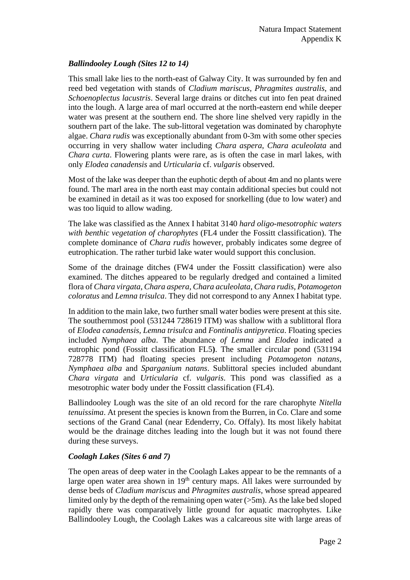## *Ballindooley Lough (Sites 12 to 14)*

This small lake lies to the north-east of Galway City. It was surrounded by fen and reed bed vegetation with stands of *Cladium mariscus*, *Phragmites australis*, and *Schoenoplectus lacustris*. Several large drains or ditches cut into fen peat drained into the lough. A large area of marl occurred at the north-eastern end while deeper water was present at the southern end. The shore line shelved very rapidly in the southern part of the lake. The sub-littoral vegetation was dominated by charophyte algae. *Chara rudis* was exceptionally abundant from 0-3m with some other species occurring in very shallow water including *Chara aspera*, *Chara aculeolata* and *Chara curta*. Flowering plants were rare, as is often the case in marl lakes, with only *Elodea canadensis* and *Urticularia* cf. *vulgaris* observed.

Most of the lake was deeper than the euphotic depth of about 4m and no plants were found. The marl area in the north east may contain additional species but could not be examined in detail as it was too exposed for snorkelling (due to low water) and was too liquid to allow wading.

The lake was classified as the Annex I habitat 3140 *hard oligo-mesotrophic waters with benthic vegetation of charophytes* (FL4 under the Fossitt classification). The complete dominance of *Chara rudis* however, probably indicates some degree of eutrophication. The rather turbid lake water would support this conclusion.

Some of the drainage ditches (FW4 under the Fossitt classification) were also examined. The ditches appeared to be regularly dredged and contained a limited flora of *Chara virgata*, *Chara aspera*, *Chara aculeolata*, *Chara rudis*, *Potamogeton coloratus* and *Lemna trisulca*. They did not correspond to any Annex I habitat type.

In addition to the main lake, two further small water bodies were present at this site. The southernmost pool (531244 728619 ITM) was shallow with a sublittoral flora of *Elodea canadensis, Lemna trisulca* and *Fontinalis antipyretica*. Floating species included *Nymphaea alba*. The abundance *of Lemna* and *Elodea* indicated a eutrophic pond (Fossitt classification FL5**)**. The smaller circular pond (531194 728778 ITM) had floating species present including *Potamogeton natans, Nymphaea alba* and *Sparganium natans*. Sublittoral species included abundant *Chara virgata* and *Urticularia* cf. *vulgaris*. This pond was classified as a mesotrophic water body under the Fossitt classification (FL4).

Ballindooley Lough was the site of an old record for the rare charophyte *Nitella tenuissima*. At present the species is known from the Burren, in Co. Clare and some sections of the Grand Canal (near Edenderry, Co. Offaly). Its most likely habitat would be the drainage ditches leading into the lough but it was not found there during these surveys.

### *Coolagh Lakes (Sites 6 and 7)*

The open areas of deep water in the Coolagh Lakes appear to be the remnants of a large open water area shown in  $19<sup>th</sup>$  century maps. All lakes were surrounded by dense beds of *Cladium mariscus* and *Phragmites australis*, whose spread appeared limited only by the depth of the remaining open water  $(5m)$ . As the lake bed sloped rapidly there was comparatively little ground for aquatic macrophytes. Like Ballindooley Lough, the Coolagh Lakes was a calcareous site with large areas of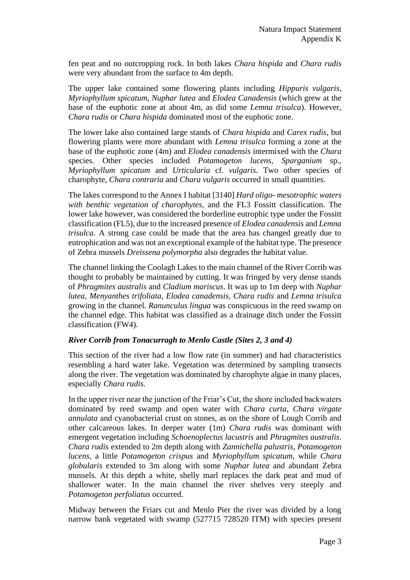fen peat and no outcropping rock. In both lakes *Chara hispida* and *Chara rudis* were very abundant from the surface to 4m depth.

The upper lake contained some flowering plants including *Hippuris vulgaris*, *Myriophyllum spicatum*, *Nuphar lutea* and *Elodea Canadensis* (which grew at the base of the euphotic zone at about 4m, as did some *Lemna trisulca*). However, *Chara rudis* or *Chara hispida* dominated most of the euphotic zone.

The lower lake also contained large stands of *Chara hispida* and *Carex rudis*, but flowering plants were more abundant with *Lemna trisulca* forming a zone at the base of the euphotic zone (4m) and *Elodea canadensis* intermixed with the *Chara* species. Other species included *Potamogeton lucens*, *Sparganium* sp., *Myriophyllum spicatum* and *Urticularia* cf. *vulgaris*. Two other species of charophyte, *Chara contraria* and *Chara vulgaris* occurred in small quantities.

The lakes correspond to the Annex I habitat [3140] *Hard oligo- mesotrophic waters with benthic vegetation of charophytes*, and the FL3 Fossitt classification. The lower lake however, was considered the borderline eutrophic type under the Fossitt classification (FL5), due to the increased presence of *Elodea canadensis* and *Lemna trisulca*. A strong case could be made that the area has changed greatly due to eutrophication and was not an exceptional example of the habitat type. The presence of Zebra mussels *Dreissena polymorpha* also degrades the habitat value.

The channel linking the Coolagh Lakes to the main channel of the River Corrib was thought to probably be maintained by cutting. It was fringed by very dense stands of *Phragmites australis* and *Cladium mariscus*. It was up to 1m deep with *Nuphar lutea*, *Menyanthes trifoliata*, *Elodea canadensis, Chara rudis* and *Lemna trisulca* growing in the channel*. Ranunculus lingua* was conspicuous in the reed swamp on the channel edge. This habitat was classified as a drainage ditch under the Fossitt classification (FW4).

### *River Corrib from Tonacurragh to Menlo Castle (Sites 2, 3 and 4)*

This section of the river had a low flow rate (in summer) and had characteristics resembling a hard water lake. Vegetation was determined by sampling transects along the river. The vegetation was dominated by charophyte algae in many places, especially *Chara rudis.* 

In the upper river near the junction of the Friar's Cut, the shore included backwaters dominated by reed swamp and open water with *Chara curta*, *Chara virgate annulata* and cyanobacterial crust on stones, as on the shore of Lough Corrib and other calcareous lakes. In deeper water (1m) *Chara rudis* was dominant with emergent vegetation including *Schoenoplectus lacustris* and *Phragmites australis*. *Chara rudis* extended to 2m depth along with *Zannichella palustris*, *Potamogeton lucens*, a little *Potamogeton crispus* and *Myriophyllum spicatum,* while *Chara globularis* extended to 3m along with some *Nuphar lutea* and abundant Zebra mussels. At this depth a white, shelly marl replaces the dark peat and mud of shallower water. In the main channel the river shelves very steeply and *Potamogeton perfoliatus* occurred.

Midway between the Friars cut and Menlo Pier the river was divided by a long narrow bank vegetated with swamp (527715 728520 ITM) with species present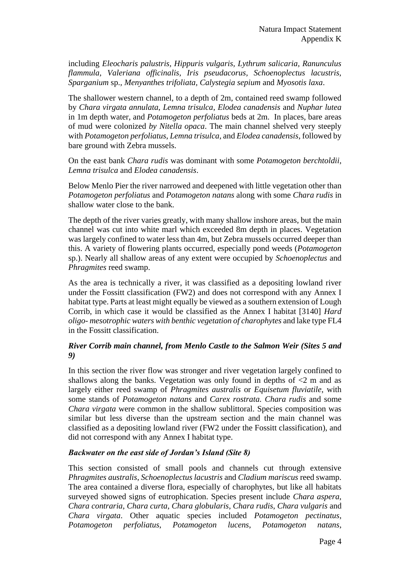including *Eleocharis palustris, Hippuris vulgaris, Lythrum salicaria, Ranunculus flammula, Valeriana officinalis, Iris pseudacorus, Schoenoplectus lacustris, Sparganium* sp.*, Menyanthes trifoliata, Calystegia sepium* and *Myosotis laxa*.

The shallower western channel, to a depth of 2m, contained reed swamp followed by *Chara virgata annulata*, *Lemna trisulca*, *Elodea canadensis* and *Nuphar lutea*  in 1m depth water, and *Potamogeton perfoliatus* beds at 2m. In places, bare areas of mud were colonized *by Nitella opaca*. The main channel shelved very steeply with *Potamogeton perfoliatus*, *Lemna trisulca*, and *Elodea canadensis*, followed by bare ground with Zebra mussels.

On the east bank *Chara rudis* was dominant with some *Potamogeton berchtoldii*, *Lemna trisulca* and *Elodea canadensis*.

Below Menlo Pier the river narrowed and deepened with little vegetation other than *Potamogeton perfoliatus* and *Potamogeton natans* along with some *Chara rudis* in shallow water close to the bank.

The depth of the river varies greatly, with many shallow inshore areas, but the main channel was cut into white marl which exceeded 8m depth in places. Vegetation was largely confined to water less than 4m, but Zebra mussels occurred deeper than this. A variety of flowering plants occurred, especially pond weeds (*Potamogeton* sp.). Nearly all shallow areas of any extent were occupied by *Schoenoplectus* and *Phragmites* reed swamp.

As the area is technically a river, it was classified as a depositing lowland river under the Fossitt classification (FW2) and does not correspond with any Annex I habitat type. Parts at least might equally be viewed as a southern extension of Lough Corrib, in which case it would be classified as the Annex I habitat [3140] *Hard oligo- mesotrophic waters with benthic vegetation of charophytes* and lake type FL4 in the Fossitt classification.

### *River Corrib main channel, from Menlo Castle to the Salmon Weir (Sites 5 and 9)*

In this section the river flow was stronger and river vegetation largely confined to shallows along the banks. Vegetation was only found in depths of  $\leq 2$  m and as largely either reed swamp of *Phragmites australis* or *Equisetum fluviatile*, with some stands of *Potamogeton natans* and *Carex rostrata. Chara rudis* and some *Chara virgata* were common in the shallow sublittoral. Species composition was similar but less diverse than the upstream section and the main channel was classified as a depositing lowland river (FW2 under the Fossitt classification), and did not correspond with any Annex I habitat type.

#### *Backwater on the east side of Jordan's Island (Site 8)*

This section consisted of small pools and channels cut through extensive *Phragmites australis*, *Schoenoplectus lacustris* and *Cladium mariscus* reed swamp. The area contained a diverse flora, especially of charophytes, but like all habitats surveyed showed signs of eutrophication. Species present include *Chara aspera*, *Chara contraria*, *Chara curta*, *Chara globularis*, *Chara rudis*, *Chara vulgaris* and *Chara virgata*. Other aquatic species included *Potamogeton pectinatus*, *Potamogeton perfoliatus*, *Potamogeton lucens*, *Potamogeton natans*,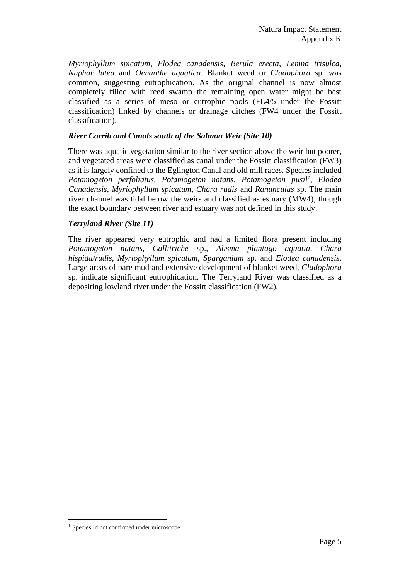*Myriophyllum spicatum*, *Elodea canadensis*, *Berula erecta*, *Lemna trisulca*, *Nuphar lutea* and *Oenanthe aquatica*. Blanket weed or *Cladophora* sp. was common, suggesting eutrophication. As the original channel is now almost completely filled with reed swamp the remaining open water might be best classified as a series of meso or eutrophic pools (FL4/5 under the Fossitt classification) linked by channels or drainage ditches (FW4 under the Fossitt classification).

#### *River Corrib and Canals south of the Salmon Weir (Site 10)*

There was aquatic vegetation similar to the river section above the weir but poorer, and vegetated areas were classified as canal under the Fossitt classification (FW3) as it is largely confined to the Eglington Canal and old mill races. Species included *Potamogeton perfoliatus*, *Potamogeton natans*, *Potamogeton pusil<sup>1</sup>* , *Elodea Canadensis, Myriophyllum spicatum, Chara rudis* and *Ranunculus* sp. The main river channel was tidal below the weirs and classified as estuary (MW4), though the exact boundary between river and estuary was not defined in this study.

#### *Terryland River (Site 11)*

The river appeared very eutrophic and had a limited flora present including *Potamogeton natans*, *Callitriche* sp., *Alisma plantago aquatia*, *Chara hispida/rudis*, *Myriophyllum spicatum*, *Sparganium* sp. and *Elodea canadensis*. Large areas of bare mud and extensive development of blanket weed, *Cladophora* sp. indicate significant eutrophication. The Terryland River was classified as a depositing lowland river under the Fossitt classification (FW2).

 $\overline{a}$ 

<sup>&</sup>lt;sup>1</sup> Species Id not confirmed under microscope.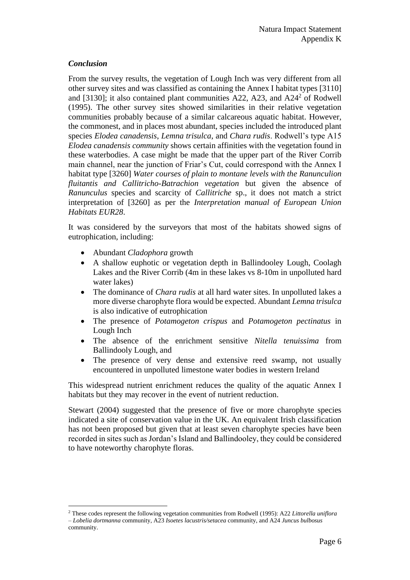#### *Conclusion*

 $\overline{a}$ 

From the survey results, the vegetation of Lough Inch was very different from all other survey sites and was classified as containing the Annex I habitat types [3110] and [3130]; it also contained plant communities A22, A23, and A2 $4<sup>2</sup>$  of Rodwell (1995). The other survey sites showed similarities in their relative vegetation communities probably because of a similar calcareous aquatic habitat. However, the commonest, and in places most abundant, species included the introduced plant species *Elodea canadensis*, *Lemna trisulca*, and *Chara rudis*. Rodwell's type A15 *Elodea canadensis community* shows certain affinities with the vegetation found in these waterbodies. A case might be made that the upper part of the River Corrib main channel, near the junction of Friar's Cut, could correspond with the Annex I habitat type [3260] *Water courses of plain to montane levels with the Ranunculion fluitantis and Callitricho-Batrachion vegetation* but given the absence of *Ranunculus* species and scarcity of *Callitriche* sp., it does not match a strict interpretation of [3260] as per the *Interpretation manual of European Union Habitats EUR28*.

It was considered by the surveyors that most of the habitats showed signs of eutrophication, including:

- Abundant *Cladophora* growth
- A shallow euphotic or vegetation depth in Ballindooley Lough, Coolagh Lakes and the River Corrib (4m in these lakes vs 8-10m in unpolluted hard water lakes)
- The dominance of *Chara rudis* at all hard water sites. In unpolluted lakes a more diverse charophyte flora would be expected. Abundant *Lemna trisulca* is also indicative of eutrophication
- The presence of *Potamogeton crispus* and *Potamogeton pectinatus* in Lough Inch
- The absence of the enrichment sensitive *Nitella tenuissima* from Ballindooly Lough, and
- The presence of very dense and extensive reed swamp, not usually encountered in unpolluted limestone water bodies in western Ireland

This widespread nutrient enrichment reduces the quality of the aquatic Annex I habitats but they may recover in the event of nutrient reduction.

Stewart (2004) suggested that the presence of five or more charophyte species indicated a site of conservation value in the UK. An equivalent Irish classification has not been proposed but given that at least seven charophyte species have been recorded in sites such as Jordan's Island and Ballindooley, they could be considered to have noteworthy charophyte floras.

<sup>2</sup> These codes represent the following vegetation communities from Rodwell (1995): A22 *Littorella uniflora – Lobelia dortmanna* community, A23 *Isoetes lacustris/setacea* community, and A24 *Juncus bulbosus* community.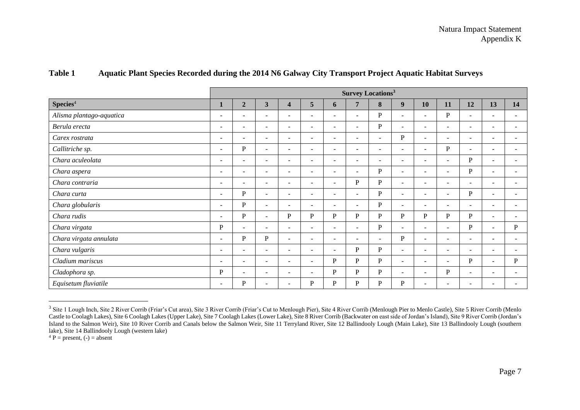|                          | <b>Survey Locations<sup>3</sup></b> |                          |                          |                          |                              |                          |                          |                          |                          |                          |                          |                          |                          |             |
|--------------------------|-------------------------------------|--------------------------|--------------------------|--------------------------|------------------------------|--------------------------|--------------------------|--------------------------|--------------------------|--------------------------|--------------------------|--------------------------|--------------------------|-------------|
| Species <sup>4</sup>     |                                     | $\boldsymbol{2}$         | $\mathbf{3}$             | $\overline{\mathbf{4}}$  | 5                            | $\mathbf{6}$             | $\overline{7}$           | 8                        | 9                        | 10                       | 11                       | 12                       | 13                       | 14          |
| Alisma plantago-aquatica | $\overline{\phantom{a}}$            | $\overline{\phantom{a}}$ | $\sim$                   | $\sim$                   | $\overline{\phantom{0}}$     | $\overline{\phantom{0}}$ | $\overline{\phantom{a}}$ | P                        | $\blacksquare$           | $\equiv$                 | P                        | $\sim$                   | $\overline{\phantom{a}}$ |             |
| Berula erecta            | $\overline{\phantom{a}}$            | $\overline{\phantom{a}}$ | $\sim$                   | $\blacksquare$           | $\overline{\phantom{a}}$     | $\overline{\phantom{a}}$ | $\sim$                   | P                        | $\overline{\phantom{0}}$ | $\overline{\phantom{a}}$ | $\sim$                   | $\sim$                   | $\overline{\phantom{a}}$ |             |
| Carex rostrata           | $\overline{\phantom{a}}$            | $\overline{\phantom{a}}$ | $\sim$                   | $\overline{\phantom{a}}$ | $\overline{\phantom{a}}$     | $\overline{\phantom{a}}$ | $\overline{\phantom{a}}$ | $\overline{\phantom{a}}$ | $\mathbf{P}$             | $\overline{\phantom{a}}$ | $\overline{\phantom{a}}$ | $\sim$                   | $\overline{\phantom{a}}$ |             |
| Callitriche sp.          | $\overline{\phantom{a}}$            | $\mathbf P$              | $\sim$                   | $\sim$                   | $\blacksquare$               | $\overline{\phantom{a}}$ | $\sim$                   | $\overline{\phantom{a}}$ | $\sim$                   | $\sim$                   | P                        | $\sim$                   | $\overline{\phantom{a}}$ |             |
| Chara aculeolata         | $\overline{\phantom{a}}$            | $\overline{\phantom{a}}$ | $\sim$                   | $\overline{\phantom{0}}$ | $\overline{\phantom{0}}$     | $\overline{\phantom{a}}$ | -                        | $\sim$                   | $\overline{\phantom{a}}$ | $\overline{\phantom{a}}$ | $\overline{\phantom{a}}$ | P                        | $\overline{\phantom{a}}$ |             |
| Chara aspera             | $\overline{\phantom{a}}$            | $\overline{\phantom{a}}$ | $\sim$                   | $\overline{\phantom{a}}$ | $\overline{\phantom{0}}$     | $\overline{\phantom{0}}$ | $\overline{\phantom{a}}$ | P                        | ۰                        | $\overline{\phantom{a}}$ | $\overline{\phantom{a}}$ | $\, {\bf P}$             | $\overline{\phantom{a}}$ |             |
| Chara contraria          | $\overline{\phantom{a}}$            | $\overline{\phantom{a}}$ | $\overline{\phantom{a}}$ | $\blacksquare$           | $\overline{\phantom{a}}$     | $\overline{\phantom{a}}$ | $\mathbf{P}$             | P                        | $\blacksquare$           | $\overline{\phantom{a}}$ | $\overline{\phantom{a}}$ | $\overline{\phantom{a}}$ | $\overline{\phantom{a}}$ |             |
| Chara curta              | $\overline{\phantom{a}}$            | $\mathbf P$              | $\sim$                   | $\overline{\phantom{a}}$ | $\overline{\phantom{0}}$     | $\overline{\phantom{0}}$ | $\overline{\phantom{a}}$ | P                        | ۰                        | $\overline{\phantom{a}}$ | $\overline{\phantom{a}}$ | P                        | $\overline{\phantom{a}}$ |             |
| Chara globularis         | $\overline{\phantom{a}}$            | $\mathbf P$              | $\sim$                   | $\overline{\phantom{a}}$ | $\overline{\phantom{0}}$     | $\overline{\phantom{0}}$ | $\overline{\phantom{a}}$ | P                        | $\blacksquare$           | $\sim$                   | $\overline{\phantom{a}}$ | $\sim$                   | $\overline{\phantom{a}}$ |             |
| Chara rudis              | $\overline{\phantom{a}}$            | $\mathbf P$              | $\sim$                   | P                        | P                            | P                        | $\mathbf P$              | P                        | P                        | P                        | $\mathbf P$              | P                        | $\overline{\phantom{a}}$ |             |
| Chara virgata            | ${\bf P}$                           | $\overline{\phantom{a}}$ | $\overline{\phantom{a}}$ | $\overline{\phantom{a}}$ | $\overline{\phantom{0}}$     | $\overline{\phantom{0}}$ | $\overline{\phantom{0}}$ | P                        | ۰                        | ۰                        | $\overline{\phantom{0}}$ | ${\bf P}$                | $\overline{\phantom{a}}$ | $\mathbf P$ |
| Chara virgata annulata   | $\overline{\phantom{a}}$            | P                        | ${\bf P}$                | $\blacksquare$           | $\overline{\phantom{a}}$     | $\overline{\phantom{0}}$ | $\sim$                   | $\sim$                   | P                        | $\overline{\phantom{a}}$ | $\overline{\phantom{0}}$ | $\sim$                   | $\overline{\phantom{a}}$ |             |
| Chara vulgaris           | $\sim$                              | $\overline{\phantom{a}}$ | $\sim$                   | $\overline{\phantom{a}}$ | $\overline{\phantom{a}}$     | $\overline{\phantom{a}}$ | $\, {\bf P}$             | P                        | ÷.                       | $\sim$                   | $\sim$                   | $\sim$                   | $\overline{\phantom{a}}$ |             |
| Cladium mariscus         | $\overline{\phantom{a}}$            | $\overline{\phantom{a}}$ | $\sim$                   | $\overline{\phantom{a}}$ | $\qquad \qquad \blacksquare$ | P                        | P                        | P                        | $\blacksquare$           | $\overline{\phantom{a}}$ | $\overline{\phantom{a}}$ | P                        | $\sim$                   | P           |
| Cladophora sp.           | P                                   | $\overline{\phantom{a}}$ | $\overline{\phantom{a}}$ | $\overline{\phantom{a}}$ | $\overline{\phantom{0}}$     | P                        | $\mathbf{P}$             | P                        | ۰                        | ۰                        | P                        | $\overline{\phantom{a}}$ | $\overline{\phantom{a}}$ |             |
| Equisetum fluviatile     | $\overline{\phantom{a}}$            | P                        | $\overline{\phantom{a}}$ | ۰                        | P                            | P                        | $\mathbf{P}$             | P                        | P                        | ۰                        | $\overline{\phantom{a}}$ | $\overline{\phantom{a}}$ |                          |             |

#### **Table 1 Aquatic Plant Species Recorded during the 2014 N6 Galway City Transport Project Aquatic Habitat Surveys**

 $^{4}P =$  present, (-) = absent

 $\overline{a}$ 

<sup>&</sup>lt;sup>3</sup> Site 1 Lough Inch, Site 2 River Corrib (Friar's Cut area), Site 3 River Corrib (Friar's Cut to Menlough Pier), Site 4 River Corrib (Menlough Pier to Menlo Castle), Site 5 River Corrib (Menlo Castle to Coolagh Lakes), Site 6 Coolagh Lakes (Upper Lake), Site 7 Coolagh Lakes (Lower Lake), Site 8 River Corrib (Backwater on east side of Jordan's Island), Site 9 River Corrib (Jordan's Island to the Salmon Weir), Site 10 River Corrib and Canals below the Salmon Weir, Site 11 Terryland River, Site 12 Ballindooly Lough (Main Lake), Site 13 Ballindooly Lough (southern lake), Site 14 Ballindooly Lough (western lake)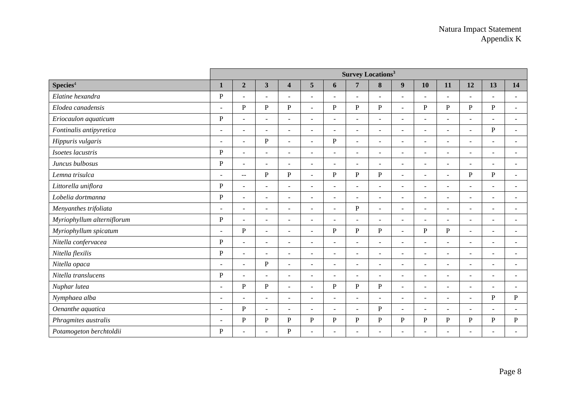|                            | <b>Survey Locations<sup>3</sup></b> |                          |                         |                          |                          |                          |                          |                          |                          |                |              |                          |                          |                          |
|----------------------------|-------------------------------------|--------------------------|-------------------------|--------------------------|--------------------------|--------------------------|--------------------------|--------------------------|--------------------------|----------------|--------------|--------------------------|--------------------------|--------------------------|
| Species <sup>4</sup>       | $\mathbf{1}$                        | $\boldsymbol{2}$         | $\overline{\mathbf{3}}$ | $\overline{\mathbf{4}}$  | $\overline{5}$           | 6                        | $\overline{7}$           | 8                        | $\boldsymbol{9}$         | 10             | 11           | 12                       | 13                       | 14                       |
| Elatine hexandra           | $\mathbf{P}$                        | $\blacksquare$           | $\sim$                  | $\overline{\phantom{a}}$ | $\sim$                   | $\overline{a}$           | $\blacksquare$           | $\overline{\phantom{a}}$ | $\overline{\phantom{a}}$ | $\blacksquare$ | ÷,           | $\sim$                   | $\overline{a}$           | $\overline{\phantom{a}}$ |
| Elodea canadensis          | $\overline{a}$                      | $\mathbf{P}$             | $\mathbf P$             | ${\bf P}$                | $\overline{a}$           | $\mathbf{P}$             | ${\bf P}$                | $\, {\bf P}$             | $\sim$                   | $\mathbf{P}$   | $\, {\bf P}$ | ${\bf P}$                | $\, {\bf P}$             |                          |
| Eriocaulon aquaticum       | $\mathbf{P}$                        | $\overline{a}$           | $\blacksquare$          | $\overline{\phantom{a}}$ | $\sim$                   | $\overline{\phantom{a}}$ | $\blacksquare$           | $\blacksquare$           | $\blacksquare$           | ٠              | ÷,           | $\blacksquare$           | $\overline{\phantom{a}}$ | $\overline{\phantom{a}}$ |
| Fontinalis antipyretica    | $\overline{\phantom{a}}$            | $\sim$                   | $\sim$                  | $\sim$                   | $\sim$                   | $\overline{a}$           | $\sim$                   | $\sim$                   | $\sim$                   | ۰              | ÷,           | $\mathbf{r}$             | $\mathbf{P}$             |                          |
| Hippuris vulgaris          | $\sim$                              | $\sim$                   | P                       | $\sim$                   | ÷.                       | P                        | $\sim$                   | $\sim$                   | $\sim$                   | $\sim$         | L.           | $\sim$                   | $\sim$                   | $\sim$                   |
| Isoetes lacustris          | $\mathbf{P}$                        | $\blacksquare$           | $\blacksquare$          | $\overline{\phantom{a}}$ | ÷                        | $\overline{\phantom{a}}$ | $\blacksquare$           | $\overline{\phantom{a}}$ | $\sim$                   | ٠              | ÷            | $\blacksquare$           | $\blacksquare$           |                          |
| Juncus bulbosus            | $\mathbf{P}$                        | $\overline{a}$           | $\overline{a}$          | $\overline{a}$           | $\overline{a}$           | ä,                       | $\sim$                   |                          | $\sim$                   | $\overline{a}$ | L,           | $\sim$                   | L.                       |                          |
| Lemna trisulca             |                                     | $\sim$                   | ${\bf P}$               | ${\bf P}$                | ۳                        | $\mathbf{P}$             | ${\bf P}$                | $\, {\bf P}$             |                          |                | ä,           | ${\bf P}$                | $\, {\bf P}$             |                          |
| Littorella uniflora        | $\, {\bf P}$                        | $\tilde{\phantom{a}}$    | $\sim$                  | $\overline{\phantom{a}}$ | ÷                        | $\overline{\phantom{0}}$ | $\blacksquare$           |                          |                          |                | ÷            | $\sim$                   | $\blacksquare$           |                          |
| Lobelia dortmanna          | $\, {\bf P}$                        | $\sim$                   | $\sim$                  | $\overline{\phantom{0}}$ | ÷                        | ÷                        | $\overline{a}$           | $\overline{\phantom{0}}$ |                          | $\equiv$       | ۳            | $\sim$                   | $\equiv$                 |                          |
| Menyanthes trifoliata      | $\sim$                              | $\blacksquare$           | $\sim$                  | ÷.                       | ٠                        | $\overline{a}$           | ${\bf P}$                | $\sim$                   | $\sim$                   | $\sim$         | ÷            | $\blacksquare$           | $\blacksquare$           |                          |
| Myriophyllum alterniflorum | $\mathbf{P}$                        | $\overline{a}$           | $\sim$                  | ÷.                       | ٠                        | ÷,                       | $\sim$                   |                          | $\sim$                   | ٠              | L.           | $\sim$                   | L,                       |                          |
| Myriophyllum spicatum      | $\overline{a}$                      | $\mathbf{P}$             | $\blacksquare$          | $\sim$                   | $\sim$                   | $\mathbf{P}$             | ${\bf P}$                | $\, {\bf P}$             | $\sim$                   | P              | ${\bf P}$    | $\blacksquare$           | $\overline{a}$           |                          |
| Nitella confervacea        | $\mathbf{P}$                        | $\blacksquare$           | $\omega$                | $\sim$                   | $\overline{\phantom{a}}$ | ÷                        | $\overline{\phantom{a}}$ |                          | $\blacksquare$           |                | ÷            | $\blacksquare$           | $\blacksquare$           |                          |
| Nitella flexilis           | $\, {\bf P}$                        | $\sim$                   | $\sim$                  | $\sim$                   | $\sim$                   | ÷                        | $\overline{\phantom{a}}$ | $\sim$                   | $\sim$                   | $\sim$         | ۳            | $\sim$                   | $\sim$                   | $\sim$                   |
| Nitella opaca              | $\sim$                              | $\blacksquare$           | ${\bf P}$               | $\sim$                   | ÷.                       | $\overline{a}$           | $\sim$                   | $\sim$                   | $\sim$                   | ÷              | ÷,           | $\blacksquare$           | $\blacksquare$           |                          |
| Nitella translucens        | $\mathbf{P}$                        | $\overline{a}$           | $\sim$                  | $\sim$                   | ÷,                       | L,                       | $\overline{a}$           |                          | $\sim$                   |                | ÷            | $\blacksquare$           | $\overline{\phantom{a}}$ |                          |
| Nuphar lutea               | $\overline{a}$                      | $\mathbf{P}$             | ${\bf P}$               | $\overline{a}$           | ÷.                       | $\mathbf{P}$             | ${\bf P}$                | $\, {\bf P}$             | $\overline{a}$           |                | L.           | ÷.                       | $\overline{a}$           |                          |
| Nymphaea alba              | $\overline{\phantom{a}}$            | $\overline{a}$           | $\blacksquare$          | $\blacksquare$           |                          | ÷                        | $\overline{\phantom{a}}$ |                          |                          |                | ÷,           | $\blacksquare$           | $\mathbf{P}$             | $\, {\bf P}$             |
| Oenanthe aquatica          | $\overline{\phantom{a}}$            | $\mathbf{P}$             | $\sim$                  |                          |                          | ÷                        | $\blacksquare$           | P                        |                          |                | ÷            | $\overline{\phantom{a}}$ | $\overline{\phantom{0}}$ |                          |
| Phragmites australis       | $\overline{\phantom{a}}$            | ${\bf P}$                | ${\bf P}$               | ${\bf P}$                | ${\bf P}$                | P                        | ${\bf P}$                | P                        | P                        | P              | ${\bf P}$    | P                        | $\mathbf P$              | P                        |
| Potamogeton berchtoldii    | $\mathbf{P}$                        | $\overline{\phantom{a}}$ | $\sim$                  | ${\bf P}$                | ä,                       | ÷                        | $\overline{\phantom{a}}$ |                          |                          |                | L,           | ÷.                       | $\overline{\phantom{a}}$ |                          |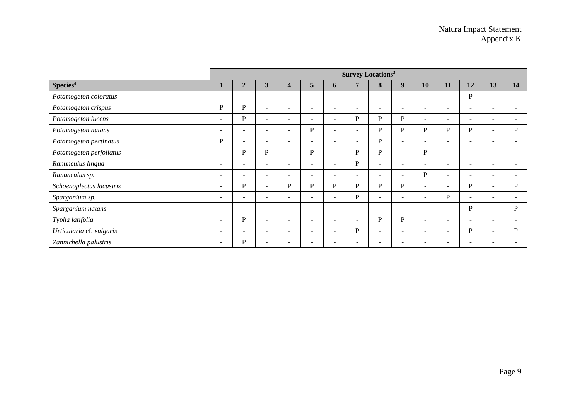|                          | <b>Survey Locations<sup>3</sup></b> |                          |                          |                          |                          |                          |                          |                          |                          |                          |                          |                          |                          |    |
|--------------------------|-------------------------------------|--------------------------|--------------------------|--------------------------|--------------------------|--------------------------|--------------------------|--------------------------|--------------------------|--------------------------|--------------------------|--------------------------|--------------------------|----|
| Species <sup>4</sup>     |                                     | $\overline{2}$           | $\overline{\mathbf{3}}$  | $\boldsymbol{4}$         | 5                        | $\mathbf b$              | 7                        | 8                        | 9                        | 10                       | 11                       | 12                       | 13                       | 14 |
| Potamogeton coloratus    | $\overline{\phantom{a}}$            | $\overline{\phantom{a}}$ | $\overline{\phantom{0}}$ | $\overline{a}$           | $\overline{\phantom{0}}$ | ۰                        | $\overline{\phantom{0}}$ |                          | $\overline{\phantom{a}}$ | ٠                        | $\blacksquare$           | P                        | $\overline{\phantom{a}}$ |    |
| Potamogeton crispus      | P                                   | P                        | $\overline{\phantom{a}}$ | $\overline{a}$           | $\overline{\phantom{0}}$ | $\overline{a}$           | $\overline{\phantom{0}}$ |                          | $\overline{\phantom{0}}$ | ۰                        | $\overline{\phantom{0}}$ | $\sim$                   | $\overline{\phantom{a}}$ |    |
| Potamogeton lucens       | $\overline{\phantom{a}}$            | $\mathbf{P}$             | $\sim$                   | $\overline{\phantom{0}}$ | ÷                        | $\overline{\phantom{a}}$ | P                        | P                        | P                        | Ξ.                       | $\blacksquare$           | $\sim$                   | $\overline{\phantom{0}}$ |    |
| Potamogeton natans       | $\overline{\phantom{a}}$            | $\overline{\phantom{a}}$ | $\overline{\phantom{a}}$ | $\overline{\phantom{a}}$ | P                        | $\overline{\phantom{0}}$ | $\overline{\phantom{0}}$ | P                        | P                        | P                        | P                        | P                        | $\sim$                   | P  |
| Potamogeton pectinatus   | $\mathbf P$                         | $\overline{\phantom{a}}$ | $\overline{\phantom{a}}$ | $\overline{a}$           | $\overline{\phantom{0}}$ | $\overline{\phantom{a}}$ | $\sim$                   | P                        | $\overline{\phantom{a}}$ | ۰                        | $\overline{\phantom{0}}$ | $\overline{\phantom{a}}$ | $\overline{\phantom{0}}$ |    |
| Potamogeton perfoliatus  | $\overline{\phantom{a}}$            | $\mathbf P$              | P                        | $\sim$                   | P                        | $\overline{\phantom{a}}$ | P                        | P                        | $\sim$                   | P                        | $\overline{a}$           | $\overline{\phantom{a}}$ | $\overline{\phantom{0}}$ |    |
| Ranunculus lingua        | $\overline{\phantom{a}}$            | $\overline{\phantom{a}}$ | <b>.</b>                 | $\overline{\phantom{a}}$ | $\overline{\phantom{0}}$ | $\overline{\phantom{a}}$ | $\mathbf P$              |                          | -                        | -                        | $\overline{\phantom{0}}$ | $\overline{\phantom{a}}$ | $\overline{\phantom{a}}$ |    |
| Ranunculus sp.           | -                                   | $\overline{\phantom{a}}$ | $\overline{\phantom{a}}$ | $\overline{\phantom{a}}$ | $\overline{\phantom{0}}$ | $\overline{\phantom{a}}$ | $\overline{\phantom{a}}$ | $\overline{\phantom{0}}$ | $\overline{\phantom{0}}$ | P                        | $\overline{\phantom{m}}$ | $\sim$                   | $\overline{\phantom{a}}$ |    |
| Schoenoplectus lacustris | $\overline{\phantom{a}}$            | P                        | $\sim$                   | P                        | P                        | P                        | P                        | P                        | P                        | $\overline{\phantom{0}}$ | $\overline{\phantom{a}}$ | P                        | $\sim$                   | P  |
| Sparganium sp.           | $\overline{\phantom{a}}$            | $\overline{\phantom{a}}$ | $\overline{\phantom{a}}$ | $\overline{\phantom{a}}$ | $\overline{\phantom{0}}$ | $\overline{\phantom{a}}$ | P                        | $\overline{\phantom{0}}$ | $\overline{\phantom{a}}$ | ۰                        | $\mathbf{P}$             | $\sim$                   | $\overline{\phantom{a}}$ |    |
| Sparganium natans        | $\overline{\phantom{a}}$            | $\overline{\phantom{a}}$ | $\overline{\phantom{a}}$ | $\overline{a}$           | $\overline{\phantom{a}}$ | $\overline{\phantom{a}}$ | $\overline{\phantom{a}}$ | $\overline{\phantom{a}}$ | $\overline{\phantom{0}}$ | ۰                        | $\overline{\phantom{0}}$ | P                        | $\sim$                   | P  |
| Typha latifolia          | $\overline{\phantom{a}}$            | $\mathbf P$              | $\sim$                   | $\overline{\phantom{0}}$ | $\overline{\phantom{0}}$ | $\overline{\phantom{a}}$ | $\overline{\phantom{0}}$ | P                        | $\mathbf{P}$             | -                        | $\blacksquare$           | $\sim$                   | $\overline{\phantom{a}}$ |    |
| Urticularia cf. vulgaris | $\overline{\phantom{a}}$            | $\overline{\phantom{a}}$ | $\overline{\phantom{a}}$ | $\overline{\phantom{a}}$ | $\overline{\phantom{0}}$ | $\overline{\phantom{a}}$ | P                        | $\overline{\phantom{a}}$ | $\overline{\phantom{a}}$ | -                        | $\overline{\phantom{0}}$ | P                        | $\sim$                   | P  |
| Zannichella palustris    | $\overline{\phantom{a}}$            | P                        | $\overline{\phantom{0}}$ |                          |                          |                          | $\overline{\phantom{0}}$ |                          |                          | -                        | $\overline{\phantom{0}}$ | $\overline{\phantom{a}}$ | $\overline{\phantom{0}}$ |    |